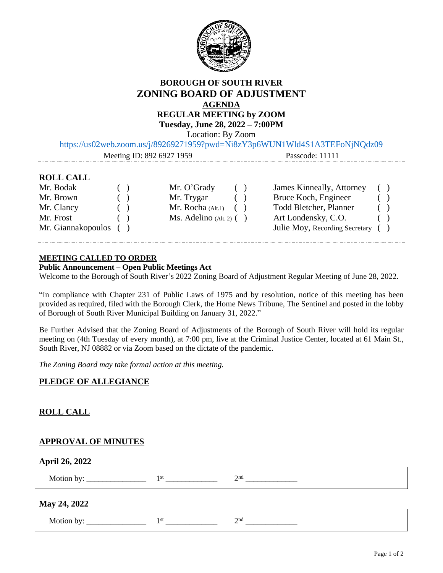

# **BOROUGH OF SOUTH RIVER ZONING BOARD OF ADJUSTMENT AGENDA REGULAR MEETING by ZOOM Tuesday, June 28, 2022 – 7:00PM**

Location: By Zoom

<https://us02web.zoom.us/j/89269271959?pwd=Ni8zY3p6WUN1Wld4S1A3TEFoNjNQdz09>

Meeting ID: 892 6927 1959 Passcode: 11111

# **ROLL CALL**

| Mr. Bodak             | $\sqrt{2}$                                     | Mr. O'Grady                  | ( | James Kinneally, Attorney         | ( |  |
|-----------------------|------------------------------------------------|------------------------------|---|-----------------------------------|---|--|
| Mr. Brown             | $\overline{\phantom{a}}$                       | Mr. Trygar                   |   | Bruce Koch, Engineer              |   |  |
| Mr. Clancy            | $\begin{pmatrix} 1 & 1 \\ 1 & 1 \end{pmatrix}$ | Mr. Rocha (Alt.1)            |   | Todd Bletcher, Planner            |   |  |
| Mr. Frost             | $\left( \quad \right)$                         | $Ms.$ Adelino (Alt. 2) $( )$ |   | Art Londensky, C.O.               |   |  |
| Mr. Giannakopoulos () |                                                |                              |   | Julie Moy, Recording Secretary () |   |  |
|                       |                                                |                              |   |                                   |   |  |

### **MEETING CALLED TO ORDER**

#### **Public Announcement – Open Public Meetings Act**

Welcome to the Borough of South River's 2022 Zoning Board of Adjustment Regular Meeting of June 28, 2022.

"In compliance with Chapter 231 of Public Laws of 1975 and by resolution, notice of this meeting has been provided as required, filed with the Borough Clerk, the Home News Tribune, The Sentinel and posted in the lobby of Borough of South River Municipal Building on January 31, 2022."

Be Further Advised that the Zoning Board of Adjustments of the Borough of South River will hold its regular meeting on (4th Tuesday of every month), at 7:00 pm, live at the Criminal Justice Center, located at 61 Main St., South River, NJ 08882 or via Zoom based on the dictate of the pandemic.

*The Zoning Board may take formal action at this meeting.*

# **PLEDGE OF ALLEGIANCE**

# **ROLL CALL**

### **APPROVAL OF MINUTES**

**April 26, 2022**

Motion by:  $\frac{1}{s}$  2 nd \_\_\_\_\_\_\_\_\_\_\_\_\_

### **May 24, 2022**

Motion by:  $\overline{\text{st}}$   $\overline{\text{t}}$   $\overline{\text{t}}$   $\overline{\text{t}}$   $\overline{\text{t}}$   $\overline{\text{t}}$   $\overline{\text{t}}$   $\overline{\text{t}}$ nd \_\_\_\_\_\_\_\_\_\_\_\_\_